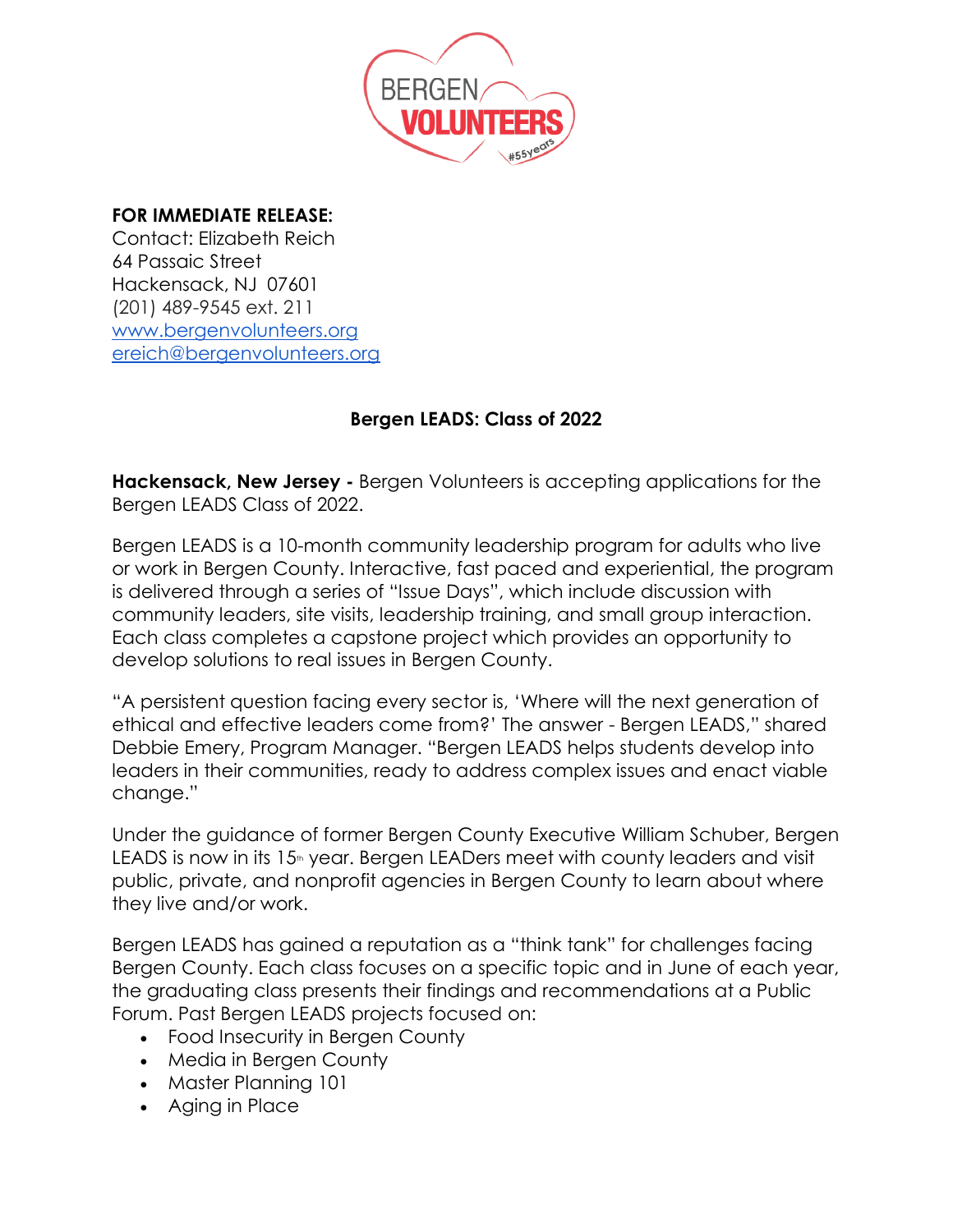

## **FOR IMMEDIATE RELEASE:**

Contact: Elizabeth Reich 64 Passaic Street Hackensack, NJ 07601 (201) 489-9545 ext. 211 [www.bergenvolunteers.org](http://www.bergenvolunteers.org/) [ereich@bergenvolunteers.org](mailto:ereich@bergenvolunteers.org)

## **Bergen LEADS: Class of 2022**

**Hackensack, New Jersey -** Bergen Volunteers is accepting applications for the Bergen LEADS Class of 2022.

Bergen LEADS is a 10-month community leadership program for adults who live or work in Bergen County. Interactive, fast paced and experiential, the program is delivered through a series of "Issue Days", which include discussion with community leaders, site visits, leadership training, and small group interaction. Each class completes a capstone project which provides an opportunity to develop solutions to real issues in Bergen County.

"A persistent question facing every sector is, 'Where will the next generation of ethical and effective leaders come from?' The answer - Bergen LEADS," shared Debbie Emery, Program Manager. "Bergen LEADS helps students develop into leaders in their communities, ready to address complex issues and enact viable change."

Under the guidance of former Bergen County Executive William Schuber, Bergen LEADS is now in its 15<sup>th</sup> year. Bergen LEADers meet with county leaders and visit public, private, and nonprofit agencies in Bergen County to learn about where they live and/or work.

Bergen LEADS has gained a reputation as a "think tank" for challenges facing Bergen County. Each class focuses on a specific topic and in June of each year, the graduating class presents their findings and recommendations at a Public Forum. Past Bergen LEADS projects focused on:

- Food Insecurity in Bergen County
- Media in Bergen County
- Master Planning 101
- Aging in Place